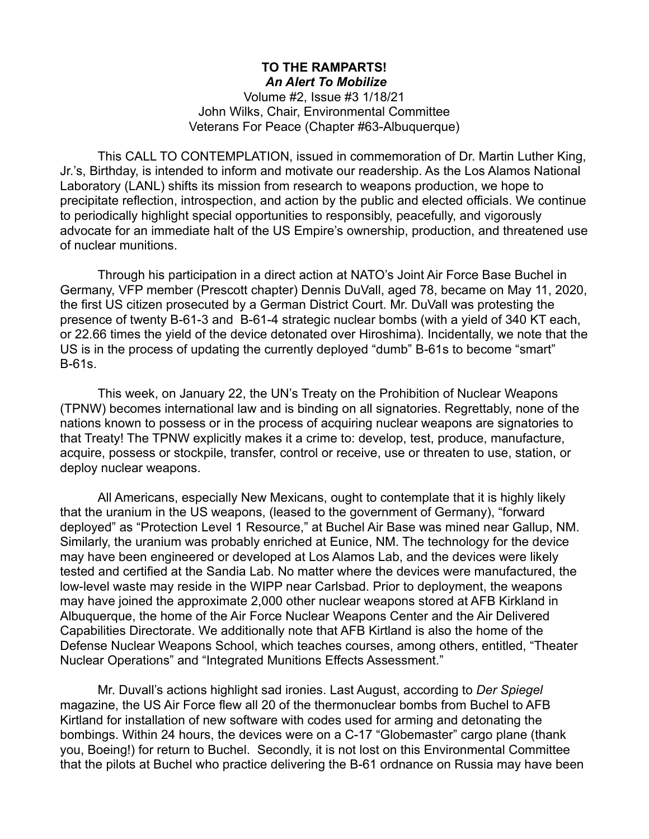## **TO THE RAMPARTS!** *An Alert To Mobilize*

Volume #2, Issue #3 1/18/21 John Wilks, Chair, Environmental Committee Veterans For Peace (Chapter #63-Albuquerque)

This CALL TO CONTEMPLATION, issued in commemoration of Dr. Martin Luther King, Jr.'s, Birthday, is intended to inform and motivate our readership. As the Los Alamos National Laboratory (LANL) shifts its mission from research to weapons production, we hope to precipitate reflection, introspection, and action by the public and elected officials. We continue to periodically highlight special opportunities to responsibly, peacefully, and vigorously advocate for an immediate halt of the US Empire's ownership, production, and threatened use of nuclear munitions.

Through his participation in a direct action at NATO's Joint Air Force Base Buchel in Germany, VFP member (Prescott chapter) Dennis DuVall, aged 78, became on May 11, 2020, the first US citizen prosecuted by a German District Court. Mr. DuVall was protesting the presence of twenty B-61-3 and B-61-4 strategic nuclear bombs (with a yield of 340 KT each, or 22.66 times the yield of the device detonated over Hiroshima). Incidentally, we note that the US is in the process of updating the currently deployed "dumb" B-61s to become "smart" B-61s.

This week, on January 22, the UN's Treaty on the Prohibition of Nuclear Weapons (TPNW) becomes international law and is binding on all signatories. Regrettably, none of the nations known to possess or in the process of acquiring nuclear weapons are signatories to that Treaty! The TPNW explicitly makes it a crime to: develop, test, produce, manufacture, acquire, possess or stockpile, transfer, control or receive, use or threaten to use, station, or deploy nuclear weapons.

All Americans, especially New Mexicans, ought to contemplate that it is highly likely that the uranium in the US weapons, (leased to the government of Germany), "forward deployed" as "Protection Level 1 Resource," at Buchel Air Base was mined near Gallup, NM. Similarly, the uranium was probably enriched at Eunice, NM. The technology for the device may have been engineered or developed at Los Alamos Lab, and the devices were likely tested and certified at the Sandia Lab. No matter where the devices were manufactured, the low-level waste may reside in the WIPP near Carlsbad. Prior to deployment, the weapons may have joined the approximate 2,000 other nuclear weapons stored at AFB Kirkland in Albuquerque, the home of the Air Force Nuclear Weapons Center and the Air Delivered Capabilities Directorate. We additionally note that AFB Kirtland is also the home of the Defense Nuclear Weapons School, which teaches courses, among others, entitled, "Theater Nuclear Operations" and "Integrated Munitions Effects Assessment."

Mr. Duvall's actions highlight sad ironies. Last August, according to *Der Spiegel* magazine, the US Air Force flew all 20 of the thermonuclear bombs from Buchel to AFB Kirtland for installation of new software with codes used for arming and detonating the bombings. Within 24 hours, the devices were on a C-17 "Globemaster" cargo plane (thank you, Boeing!) for return to Buchel. Secondly, it is not lost on this Environmental Committee that the pilots at Buchel who practice delivering the B-61 ordnance on Russia may have been